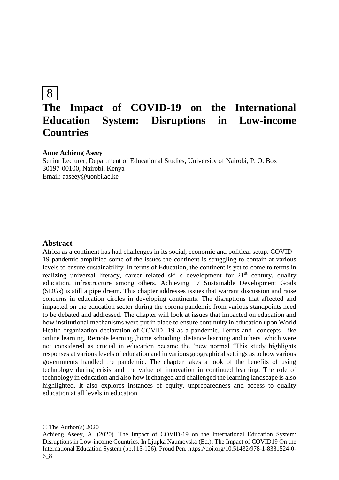## 8

# **The Impact of COVID-19 on the International Education System: Disruptions in Low-income Countries**

## **Anne Achieng Aseey**

Senior Lecturer, Department of Educational Studies, University of Nairobi, P. O. Box 30197-00100, Nairobi, Kenya Email: aaseey@uonbi.ac.ke

## **Abstract**

Africa as a continent has had challenges in its social, economic and political setup. COVID - 19 pandemic amplified some of the issues the continent is struggling to contain at various levels to ensure sustainability. In terms of Education, the continent is yet to come to terms in realizing universal literacy, career related skills development for  $21<sup>st</sup>$  century, quality education, infrastructure among others. Achieving 17 Sustainable Development Goals (SDGs) is still a pipe dream. This chapter addresses issues that warrant discussion and raise concerns in education circles in developing continents. The disruptions that affected and impacted on the education sector during the corona pandemic from various standpoints need to be debated and addressed. The chapter will look at issues that impacted on education and how institutional mechanisms were put in place to ensure continuity in education upon World Health organization declaration of COVID -19 as a pandemic. Terms and concepts like online learning, Remote learning ,home schooling, distance learning and others which were not considered as crucial in education became the 'new normal 'This study highlights responses at various levels of education and in various geographical settings as to how various governments handled the pandemic. The chapter takes a look of the benefits of using technology during crisis and the value of innovation in continued learning. The role of technology in education and also how it changed and challenged the learning landscape is also highlighted. It also explores instances of equity, unpreparedness and access to quality education at all levels in education.

\_\_\_\_\_\_\_\_\_\_\_\_\_\_\_\_\_\_\_\_\_\_\_

<sup>©</sup> The Author(s) 2020

Achieng Aseey, A. (2020). The Impact of COVID-19 on the International Education System: Disruptions in Low-income Countries. In Ljupka Naumovska (Ed.), The Impact of COVID19 On the International Education System (pp.115-126). Proud Pen. https://doi.org/10.51432/978-1-8381524-0- 6\_8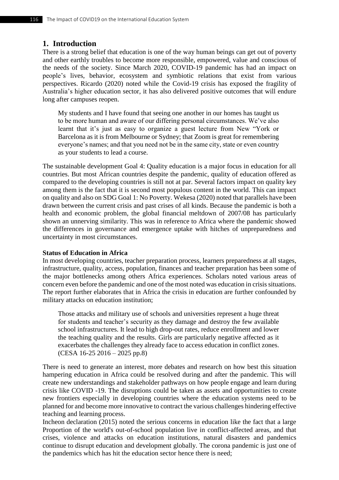## **1. Introduction**

There is a strong belief that education is one of the way human beings can get out of poverty and other earthly troubles to become more responsible, empowered, value and conscious of the needs of the society. Since March 2020, COVID-19 pandemic has had an impact on people's lives, behavior, ecosystem and symbiotic relations that exist from various perspectives. Ricardo (2020) noted while the Covid-19 crisis has exposed the fragility of Australia's higher education sector, it has also delivered positive outcomes that will endure long after campuses reopen.

My students and I have found that seeing one another in our homes has taught us to be more human and aware of our differing personal circumstances. We've also learnt that it's just as easy to organize a guest lecture from New "York or Barcelona as it is from Melbourne or Sydney; that Zoom is great for remembering everyone's names; and that you need not be in the same city, state or even country as your students to lead a course.

The sustainable development Goal 4: Quality education is a major focus in education for all countries. But most African countries despite the pandemic, quality of education offered as compared to the developing countries is still not at par. Several factors impact on quality key among them is the fact that it is second most populous content in the world. This can impact on quality and also on SDG Goal 1: No Poverty. Wekesa (2020) noted that parallels have been drawn between the current crisis and past crises of all kinds. Because the pandemic is both a health and economic problem, the global financial meltdown of 2007/08 has particularly shown an unnerving similarity. This was in reference to Africa where the pandemic showed the differences in governance and emergence uptake with hitches of unpreparedness and uncertainty in most circumstances.

## **Status of Education in Africa**

In most developing countries, teacher preparation process, learners preparedness at all stages, infrastructure, quality, access, population, finances and teacher preparation has been some of the major bottlenecks among others Africa experiences. Scholars noted various areas of concern even before the pandemic and one of the most noted was education in crisis situations. The report further elaborates that in Africa the crisis in education are further confounded by military attacks on education institution;

Those attacks and military use of schools and universities represent a huge threat for students and teacher's security as they damage and destroy the few available school infrastructures. It lead to high drop-out rates, reduce enrollment and lower the teaching quality and the results. Girls are particularly negative affected as it exacerbates the challenges they already face to access education in conflict zones. (CESA 16-25 2016 – 2025 pp.8)

There is need to generate an interest, more debates and research on how best this situation hampering education in Africa could be resolved during and after the pandemic. This will create new understandings and stakeholder pathways on how people engage and learn during crisis like COVID -19. The disruptions could be taken as assets and opportunities to create new frontiers especially in developing countries where the education systems need to be planned for and become more innovative to contract the various challenges hindering effective teaching and learning process.

Incheon declaration (2015) noted the serious concerns in education like the fact that a large Proportion of the world's out-of-school population live in conflict-affected areas, and that crises, violence and attacks on education institutions, natural disasters and pandemics continue to disrupt education and development globally. The corona pandemic is just one of the pandemics which has hit the education sector hence there is need;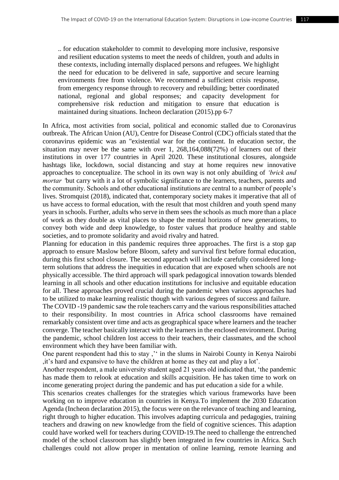.. for education stakeholder to commit to developing more inclusive, responsive and resilient education systems to meet the needs of children, youth and adults in these contexts, including internally displaced persons and refugees. We highlight the need for education to be delivered in safe, supportive and secure learning environments free from violence. We recommend a sufficient crisis response, from emergency response through to recovery and rebuilding; better coordinated national, regional and global responses; and capacity development for comprehensive risk reduction and mitigation to ensure that education is maintained during situations. Incheon declaration (2015).pp 6-7

In Africa, most activities from social, political and economic stalled due to Coronavirus outbreak. The African Union (AU), Centre for Disease Control (CDC) officials stated that the coronavirus epidemic was an "existential war for the continent. In education sector, the situation may never be the same with over 1, 268,164,088(72%) of learners out of their institutions in over 177 countries in April 2020. These institutional closures, alongside hashtags like, lockdown, social distancing and stay at home requires new innovative approaches to conceptualize. The school in its own way is not only abuilding of *'brick and mortar '*but carry with it a lot of symbolic significance to the learners, teachers, parents and the community. Schools and other educational institutions are central to a number of people's lives. Stromquist (2018), indicated that, contemporary society makes it imperative that all of us have access to formal education, with the result that most children and youth spend many years in schools. Further, adults who serve in them sees the schools as much more than a place of work as they double as vital places to shape the mental horizons of new generations, to convey both wide and deep knowledge, to foster values that produce healthy and stable societies, and to promote solidarity and avoid rivalry and hatred.

Planning for education in this pandemic requires three approaches. The first is a stop gap approach to ensure Maslow before Bloom, safety and survival first before formal education, during this first school closure. The second approach will include carefully considered longterm solutions that address the inequities in education that are exposed when schools are not physically accessible. The third approach will spark pedagogical innovation towards blended learning in all schools and other education institutions for inclusive and equitable education for all. These approaches proved crucial during the pandemic when various approaches had to be utilized to make learning realistic though with various degrees of success and failure.

The COVID -19 pandemic saw the role teachers carry and the various responsibilities attached to their responsibility. In most countries in Africa school classrooms have remained remarkably consistent over time and acts as geographical space where learners and the teacher converge. The teacher basically interact with the learners in the enclosed environment. During the pandemic, school children lost access to their teachers, their classmates, and the school environment which they have been familiar with.

One parent respondent had this to stay," in the slums in Nairobi County in Kenya Nairobi ,it's hard and expansive to have the children at home as they eat and play a lot'.

Another respondent, a male university student aged 21 years old indicated that, 'the pandemic has made them to relook at education and skills acquisition. He has taken time to work on income generating project during the pandemic and has put education a side for a while.

This scenarios creates challenges for the strategies which various frameworks have been working on to improve education in countries in Kenya.To implement the 2030 Education Agenda (Incheon declaration 2015), the focus were on the relevance of teaching and learning, right through to higher education. This involves adapting curricula and pedagogies, training teachers and drawing on new knowledge from the field of cognitive sciences. This adaption could have worked well for teachers during COVID-19.The need to challenge the entrenched model of the school classroom has slightly been integrated in few countries in Africa. Such challenges could not allow proper in mentation of online learning, remote learning and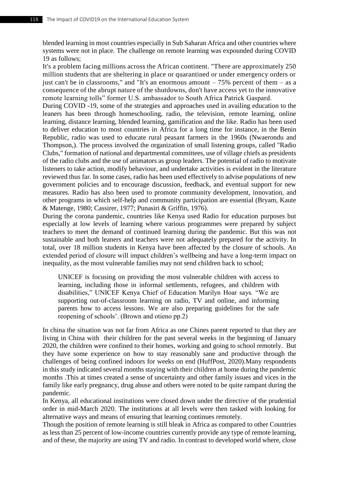blended learning in most countries especially in Sub Saharan Africa and other countries where systems were not in place. The challenge on remote learning was expounded during COVID 19 as follows;

It's a problem facing millions across the African continent. "There are approximately 250 million students that are sheltering in place or quarantined or under emergency orders or just can't be in classrooms," and "It's an enormous amount  $-75%$  percent of them  $-$  as a consequence of the abrupt nature of the shutdowns, don't have access yet to the innovative remote learning tolls" former U.S. ambassador to South Africa Patrick Gaspard.

During COVID -19, some of the strategies and approaches used in availing education to the leaners has been through homeschooling, radio, the television, remote learning, online learning, distance learning, blended learning, gamification and the like. Radio has been used to deliver education to most countries in Africa for a long time for instance, in the Benin Republic, radio was used to educate rural peasant farmers in the 1960s (Nwaerondu and Thompson,). The process involved the organization of small listening groups, called "Radio Clubs," formation of national and departmental committees, use of village chiefs as presidents of the radio clubs and the use of animators as group leaders. The potential of radio to motivate listeners to take action, modify behaviour, and undertake activities is evident in the literature reviewed thus far. In some cases, radio has been used effectively to advise populations of new government policies and to encourage discussion, feedback, and eventual support for new measures. Radio has also been used to promote community development, innovation, and other programs in which self-help and community participation are essential (Bryam, Kaute & Matenge, 1980; Cassirer, 1977; Punasiri & Griffin, 1976).

During the corona pandemic, countries like Kenya used Radio for education purposes but especially at low levels of learning where various programmes were prepared by subject teachers to meet the demand of continued learning during the pandemic. But this was not sustainable and both leaners and teachers were not adequately prepared for the activity. In total, over 18 million students in Kenya have been affected by the closure of schools. An extended period of closure will impact children's wellbeing and have a long-term impact on inequality, as the most vulnerable families may not send children back to school;

UNICEF is focusing on providing the most vulnerable children with access to learning, including those in informal settlements, refugees, and children with disabilities," UNICEF Kenya Chief of Education Marilyn Hoar says. "We are supporting out-of-classroom learning on radio, TV and online, and informing parents how to access lessons. We are also preparing guidelines for the safe reopening of schools'. (Brown and otieno pp.2)

In china the situation was not far from Africa as one Chines parent reported to that they are living in China with their children for the past several weeks in the beginning of January 2020, the children were confined to their homes, working and going to school remotely. But they have some experience on how to stay reasonably sane and productive through the challenges of being confined indoors for weeks on end (HuffPost, 2020).Many respondents in this study indicated several months staying with their children at home during the pandemic months .This at times created a sense of uncertainty and other family issues and vices in the family like early pregnancy, drug abuse and others were noted to be quite rampant during the pandemic.

In Kenya, all educational institutions were closed down under the directive of the prudential order in mid-March 2020. The institutions at all levels were then tasked with looking for alternative ways and means of ensuring that learning continues remotely.

Though the position of remote learning is still bleak in Africa as compared to other Countries as less than 25 percent of low-income countries currently provide any type of remote learning, and of these, the majority are using TV and radio. In contrast to developed world where, close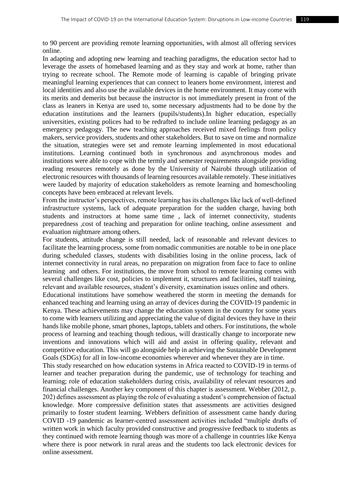to 90 percent are providing remote learning opportunities, with almost all offering services online.

In adapting and adopting new learning and teaching paradigms, the education sector had to leverage the assets of homebased learning and as they stay and work at home, rather than trying to recreate school. The Remote mode of learning is capable of bringing private meaningful learning experiences that can connect to leaners home environment, interest and local identities and also use the available devices in the home environment. It may come with its merits and demerits but because the instructor is not immediately present in front of the class as leaners in Kenya are used to, some necessary adjustments had to be done by the education institutions and the learners (pupils/students).In higher education, especially universities, existing polices had to be redrafted to include online learning pedagogy as an emergency pedagogy. The new teaching approaches received mixed feelings from policy makers, service providers, students and other stakeholders. But to save on time and normalize the situation, strategies were set and remote learning implemented in most educational institutions. Learning continued both in synchronous and asynchronous modes and institutions were able to cope with the termly and semester requirements alongside providing reading resources remotely as done by the University of Nairobi through utilization of electronic resources with thousands of learning resources available remotely. These initiatives were lauded by majority of education stakeholders as remote learning and homeschooling concepts have been embraced at relevant levels.

From the instructor's perspectives, remote learning has its challenges like lack of well-defined infrastructure systems, lack of adequate preparation for the sudden charge, having both students and instructors at home same time , lack of internet connectivity, students preparedness ,cost of teaching and preparation for online teaching, online assessment and evaluation nightmare among others.

For students, attitude change is still needed, lack of reasonable and relevant devices to facilitate the learning process, some from nomadic communities are notable to be in one place during scheduled classes, students with disabilities losing in the online process, lack of internet connectivity in rural areas, no preparation on migration from face to face to online learning and others. For institutions, the move from school to remote learning comes with several challenges like cost, policies to implement it, structures and facilities, staff training, relevant and available resources, student's diversity, examination issues online and others.

Educational institutions have somehow weathered the storm in meeting the demands for enhanced teaching and learning using an array of devices during the COVID-19 pandemic in Kenya. These achievements may change the education system in the country for some years to come with learners utilizing and appreciating the value of digital devices they have in their hands like mobile phone, smart phones, laptops, tablets and others. For institutions, the whole process of learning and teaching though tedious, will drastically change to incorporate new inventions and innovations which will aid and assist in offering quality, relevant and competitive education. This will go alongside help in achieving the Sustainable Development Goals (SDGs) for all in low-income economies wherever and whenever they are in time.

This study researched on how education systems in Africa reacted to COVID-19 in terms of learner and teacher preparation during the pandemic, use of technology for teaching and learning; role of education stakeholders during crisis, availability of relevant resources and financial challenges. Another key component of this chapter is assessment. Webber (2012, p. 202) defines assessment as playing the role of evaluating a student's comprehension of factual knowledge. More compressive definition states that assessments are activities designed primarily to foster student learning. Webbers definition of assessment came handy during COVID -19 pandemic as learner-centred assessment activities included "multiple drafts of written work in which faculty provided constructive and progressive feedback to students as they continued with remote learning though was more of a challenge in countries like Kenya where there is poor network in rural areas and the students too lack electronic devices for online assessment.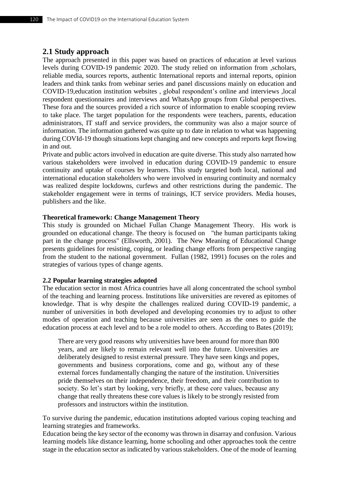## **2.1 Study approach**

The approach presented in this paper was based on practices of education at level various levels during COVID-19 pandemic 2020. The study relied on information from ,scholars, reliable media, sources reports, authentic International reports and internal reports, opinion leaders and think tanks from webinar series and panel discussions mainly on education and COVID-19,education institution websites , global respondent's online and interviews ,local respondent questionnaires and interviews and WhatsApp groups from Global perspectives. These fora and the sources provided a rich source of information to enable scooping review to take place. The target population for the respondents were teachers, parents, education administrators, IT staff and service providers, the community was also a major source of information. The information gathered was quite up to date in relation to what was happening during COVId-19 though situations kept changing and new concepts and reports kept flowing in and out.

Private and public actors involved in education are quite diverse. This study also narrated how various stakeholders were involved in education during COVID-19 pandemic to ensure continuity and uptake of courses by learners. This study targeted both local, national and international education stakeholders who were involved in ensuring continuity and normalcy was realized despite lockdowns, curfews and other restrictions during the pandemic. The stakeholder engagement were in terms of trainings, ICT service providers. Media houses, publishers and the like.

#### **Theoretical framework: Change Management Theory**

This study is grounded on Michael Fullan Change Management Theory. His work is grounded on educational change. The theory is focused on "the human participants taking part in the change process" (Ellsworth, 2001). The New Meaning of Educational Change presents guidelines for resisting, coping, or leading change efforts from perspective ranging from the student to the national government. Fullan (1982, 1991) focuses on the roles and strategies of various types of change agents.

#### **2.2 Popular learning strategies adopted**

The education sector in most Africa countries have all along concentrated the school symbol of the teaching and learning process. Institutions like universities are revered as epitomes of knowledge. That is why despite the challenges realized during COVID-19 pandemic, a number of universities in both developed and developing economies try to adjust to other modes of operation and teaching because universities are seen as the ones to guide the education process at each level and to be a role model to others. According to Bates (2019);

There are very good reasons why universities have been around for more than 800 years, and are likely to remain relevant well into the future. Universities are deliberately designed to resist external pressure. They have seen kings and popes, governments and business corporations, come and go, without any of these external forces fundamentally changing the nature of the institution. Universities pride themselves on their independence, their freedom, and their contribution to society. So let's start by looking, very briefly, at these core values, because any change that really threatens these core values is likely to be strongly resisted from professors and instructors within the institution.

To survive during the pandemic, education institutions adopted various coping teaching and learning strategies and frameworks.

Education being the key sector of the economy was thrown in disarray and confusion. Various learning models like distance learning, home schooling and other approaches took the centre stage in the education sector as indicated by various stakeholders. One of the mode of learning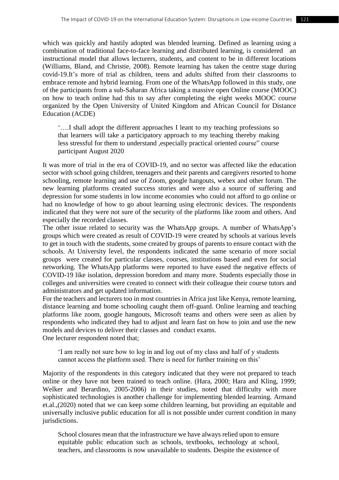which was quickly and hastily adopted was blended learning. Defined as learning using a combination of traditional face-to-face learning and distributed learning, is considered an instructional model that allows lecturers, students, and content to be in different locations [\(Williams, Bland, and Christie, 2008\).](http://dx.doi.org/10.1039/B801290N) Remote learning has taken the centre stage during covid-19.It's more of trial as children, teens and adults shifted from their classrooms to embrace remote and hybrid learning. From one of the WhatsApp followed in this study, one of the participants from a sub-Saharan Africa taking a massive open Online course (MOOC) on how to teach online had this to say after completing the eight weeks MOOC course organized by the Open University of United Kingdom and African Council for Distance Education (ACDE)

'….I shall adopt the different approaches I leant to my teaching professions so that learners will take a participatory approach to my teaching thereby making less stressful for them to understand ,especially practical oriented course" course participant August 2020

It was more of trial in the era of COVID-19, and no sector was affected like the education sector with school going children, teenagers and their parents and caregivers resorted to home schooling, remote learning and use of Zoom, google hangouts, webex and other forum. The new learning platforms created success stories and were also a source of suffering and depression for some students in low income economies who could not afford to go online or had no knowledge of how to go about learning using electronic devices. The respondents indicated that they were not sure of the security of the platforms like zoom and others. And especially the recorded classes.

The other issue related to security was the WhatsApp groups. A number of WhatsApp's groups which were created as result of COVID-19 were created by schools at various levels to get in touch with the students, some created by groups of parents to ensure contact with the schools. At University level, the respondents indicated the same scenario of more social groups were created for particular classes, courses, institutions based and even for social networking. The WhatsApp platforms were reported to have eased the negative effects of COVID-19 like isolation, depression boredom and many more. Students especially those in colleges and universities were created to connect with their colleague their course tutors and administrators and get updated information.

For the teachers and lecturers too in most countries in Africa just like Kenya, remote learning, distance learning and home schooling caught them off-guard. Online learning and teaching platforms like zoom, google hangouts, Microsoft teams and others were seen as alien by respondents who indicated they had to adjust and learn fast on how to join and use the new models and devices to deliver their classes and conduct exams.

One lecturer respondent noted that;

'I am really not sure how to log in and log out of my class and half of y students cannot access the platform used. There is need for further training on this'

Majority of the respondents in this category indicated that they were not prepared to teach online or they have not been trained to teach online. (Hara, 2000; Hara and Kling, 1999; Welker and Berardino, 2005-2006) in their studies, noted that difficulty with more sophisticated technologies is another challenge for implementing blended learning. Armand et.al.,(2020) noted that we can keep some children learning, but providing an equitable and universally inclusive public education for all is not possible under current condition in many jurisdictions.

School closures mean that the infrastructure we have always relied upon to ensure equitable public education such as schools, textbooks, technology at school, teachers, and classrooms is now unavailable to students. Despite the existence of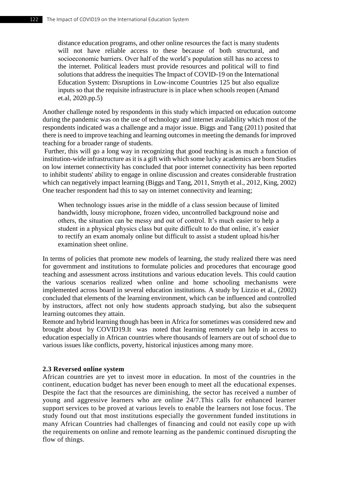distance education programs, and other online resources the fact is many students will not have reliable access to these because of both structural, and socioeconomic barriers. Over half of the world's population still has no access to the internet. Political leaders must provide resources and political will to find solutions that address the inequities The Impact of COVID-19 on the International Education System: Disruptions in Low-income Countries 125 but also equalize inputs so that the requisite infrastructure is in place when schools reopen (Amand et.al, 2020.pp.5)

Another challenge noted by respondents in this study which impacted on education outcome during the pandemic was on the use of technology and internet availability which most of the respondents indicated was a challenge and a major issue. Biggs and Tang (2011) posited that there is need to improve teaching and learning outcomes in meeting the demands for improved teaching for a broader range of students.

Further, this will go a long way in recognizing that good teaching is as much a function of institution-wide infrastructure as it is a gift with which some lucky academics are born Studies on low internet connectivity has concluded that poor internet connectivity has been reported to inhibit students' ability to engage in online discussion and creates considerable frustration which can negatively impact learning (Biggs and Tang, 2011, Smyth et al., 2012, King, 2002) One teacher respondent had this to say on internet connectivity and learning;

When technology issues arise in the middle of a class session because of limited bandwidth, lousy microphone, frozen video, uncontrolled background noise and others, the situation can be messy and out of control. It's much easier to help a student in a physical physics class but quite difficult to do that online, it's easier to rectify an exam anomaly online but difficult to assist a student upload his/her examination sheet online.

In terms of policies that promote new models of learning, the study realized there was need for government and institutions to formulate policies and procedures that encourage good teaching and assessment across institutions and various education levels. This could caution the various scenarios realized when online and home schooling mechanisms were implemented across board in several education institutions. A study by Lizzio et al., (2002) concluded that elements of the learning environment, which can be influenced and controlled by instructors, affect not only how students approach studying, but also the subsequent learning outcomes they attain.

Remote and hybrid learning though has been in Africa for sometimes was considered new and brought about by COVID19.It was noted that learning remotely can help in access to education especially in African countries where thousands of learners are out of school due to various issues like conflicts, poverty, historical injustices among many more.

#### **2.3 Reversed online system**

African countries are yet to invest more in education. In most of the countries in the continent, education budget has never been enough to meet all the educational expenses. Despite the fact that the resources are diminishing, the sector has received a number of young and aggressive learners who are online 24/7.This calls for enhanced learner support services to be proved at various levels to enable the learners not lose focus. The study found out that most institutions especially the government funded institutions in many African Countries had challenges of financing and could not easily cope up with the requirements on online and remote learning as the pandemic continued disrupting the flow of things.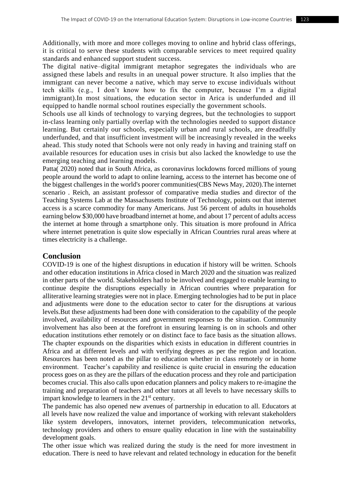Additionally, with more and more colleges moving to online and hybrid class offerings, it is critical to serve these students with comparable services to meet required quality standards and enhanced support student success.

The digital native–digital immigrant metaphor segregates the individuals who are assigned these labels and results in an unequal power structure. It also implies that the immigrant can never become a native, which may serve to excuse individuals without tech skills (e.g., I don't know how to fix the computer, because I'm a digital immigrant).In most situations, the education sector in Arica is underfunded and ill equipped to handle normal school routines especially the government schools.

Schools use all kinds of technology to varying degrees, but the technologies to support in-class learning only partially overlap with the technologies needed to support distance learning. But certainly our schools, especially urban and rural schools, are dreadfully underfunded, and that insufficient investment will be increasingly revealed in the weeks ahead. This study noted that Schools were not only ready in having and training staff on available resources for education uses in crisis but also lacked the knowledge to use the emerging teaching and learning models.

Patta( 2020) noted that in South Africa, as coronavirus lockdowns forced millions of young people around the world to adapt to online learning, access to the internet has become one of the biggest challenges in the world's poorer communities(CBS News May, 2020).The internet scenario . Reich, an assistant professor of comparative media studies and director of the Teaching Systems Lab at the Massachusetts Institute of Technology, points out that internet access is a scarce commodity for many Americans. Just 56 percent of adults in households earning below \$30,000 have broadband internet at home, and about 17 percent of adults access the internet at home through a smartphone only. This situation is more profound in Africa where internet penetration is quite slow especially in African Countries rural areas where at times electricity is a challenge.

## **Conclusion**

COVID-19 is one of the highest disruptions in education if history will be written. Schools and other education institutions in Africa closed in March 2020 and the situation was realized in other parts of the world. Stakeholders had to be involved and engaged to enable learning to continue despite the disruptions especially in African countries where preparation for alliterative learning strategies were not in place. Emerging technologies had to be put in place and adjustments were done to the education sector to cater for the disruptions at various levels.But these adjustments had been done with consideration to the capability of the people involved, availability of resources and government responses to the situation. Community involvement has also been at the forefront in ensuring learning is on in schools and other education institutions ether remotely or on distinct face to face basis as the situation allows. The chapter expounds on the disparities which exists in education in different countries in Africa and at different levels and with verifying degrees as per the region and location. Resources has been noted as the pillar to education whether in class remotely or in home environment. Teacher's capability and resilience is quite crucial in ensuring the education process goes on as they are the pillars of the education process and they role and participation becomes crucial. This also calls upon education planners and policy makers to re-imagine the training and preparation of teachers and other tutors at all levels to have necessary skills to impart knowledge to learners in the  $21<sup>st</sup>$  century.

The pandemic has also opened new avenues of partnership in education to all. Educators at all levels have now realized the value and importance of working with relevant stakeholders like system developers, innovators, internet providers, telecommunication networks, technology providers and others to ensure quality education in line with the sustainability development goals.

The other issue which was realized during the study is the need for more investment in education. There is need to have relevant and related technology in education for the benefit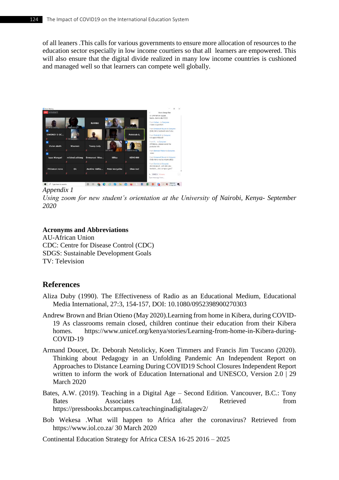of all leaners .This calls for various governments to ensure more allocation of resources to the education sector especially in low income courtiers so that all learners are empowered. This will also ensure that the digital divide realized in many low income countries is cushioned and managed well so that learners can compete well globally.



*Appendix 1*

*Using zoom for new student's orientation at the University of Nairobi, Kenya- September 2020*

#### **Acronyms and Abbreviations**

AU-African Union CDC: Centre for Disease Control (CDC) SDGS: Sustainable Development Goals TV: Television

## **References**

- Aliza Duby (1990). The Effectiveness of Radio as an Educational Medium, Educational Media International, 27:3, 154-157, DOI: 10.1080/0952398900270303
- Andrew Brown and Brian Otieno (May 2020).Learning from home in Kibera, during COVID-19 As classrooms remain closed, children continue their education from their Kibera homes. https://www.unicef.org/kenya/stories/Learning-from-home-in-Kibera-during-COVID-19
- Armand Doucet, Dr. Deborah Netolicky, Koen Timmers and Francis Jim Tuscano (2020). Thinking about Pedagogy in an Unfolding Pandemic An Independent Report on Approaches to Distance Learning During COVID19 School Closures Independent Report written to inform the work of Education International and UNESCO, Version 2.0 | 29 March 2020
- Bates, A.W. (2019). Teaching in a Digital Age Second Edition. Vancouver, B.C.: Tony Bates Associates Ltd. Retrieved from <https://pressbooks.bccampus.ca/teachinginadigitalagev2/>
- Bob Wekesa .What will happen to Africa after the coronavirus? Retrieved from https://www.iol.co.za/ 30 March 2020

Continental Education Strategy for Africa CESA 16-25 2016 – 2025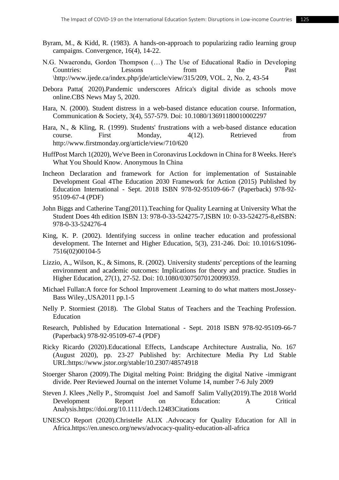- Byram, M., & Kidd, R. (1983). A hands-on-approach to popularizing radio learning group campaigns. Convergence, 16(4), 14-22.
- N.G. Nwaerondu, Gordon Thompson (…) The Use of Educational Radio in Developing Countries: Lessons from the Past \http://www.ijede.ca/index.php/jde/article/view/315/209, VOL. 2, No. 2, 43-54
- Debora Patta( 2020).Pandemic underscores Africa's digital divide as schools move online.CBS News May 5, 2020.
- Hara, N. (2000). Student distress in a web-based distance education course. Information, Communication & Society, 3(4), 557-579. Doi: 10.1080/13691180010002297
- Hara, N., & Kling, R. (1999). Students' frustrations with a web-based distance education course. First Monday, 4(12). Retrieved from <http://www.firstmonday.org/article/view/710/620>
- HuffPost March 1(2020), We've Been in Coronavirus Lockdown in China for 8 Weeks. Here's What You Should Know. Anonymous In China
- Incheon Declaration and framework for Action for implementation of Sustainable Development Goal 4The Education 2030 Framework for Action (2015) Published by Education International - Sept. 2018 ISBN 978-92-95109-66-7 (Paperback) 978-92- 95109-67-4 (PDF)
- John Biggs and Catherine Tang(2011).Teaching for Quality Learning at University What the Student Does 4th edition ISBN 13: 978-0-33-524275-7,ISBN 10: 0-33-524275-8,eISBN: 978-0-33-524276-4
- King, K. P. (2002). Identifying success in online teacher education and professional development. The Internet and Higher Education, 5(3), 231-246. Doi: 10.1016/S1096- 7516(02)00104-5
- Lizzio, A., Wilson, K., & Simons, R. (2002). University students' perceptions of the learning environment and academic outcomes: Implications for theory and practice. Studies in Higher Education, 27(1), 27-52. Doi: 10.1080/03075070120099359.
- Michael Fullan:A force for School Improvement .Learning to do what matters most.Jossey-Bass Wiley.,USA2011 pp.1-5
- Nelly P. Stormiest (2018). The Global Status of Teachers and the Teaching Profession. Education
- Research, Published by Education International Sept. 2018 ISBN 978-92-95109-66-7 (Paperback) 978-92-95109-67-4 (PDF)
- Ricky Ricardo (2020).Educational Effects, Landscape Architecture Australia, No. 167 (August 2020), pp. 23-27 Published by: Architecture Media Pty Ltd Stable URL:https://www.jstor.org/stable/10.2307/48574918
- Stoerger Sharon (2009).The Digital melting Point: Bridging the digital Native -immigrant divide. Peer Reviewed Journal on the internet Volume 14, number 7-6 July 2009
- Steven J. Klees ,Nelly P., Stromquist Joel and Samoff Salim Vally(2019).The 2018 World Development Report on Education: A Critical Analysis.https://doi.org/10.1111/dech.12483Citations
- UNESCO Report (2020).Christelle ALIX .Advocacy for Quality Education for All in Africa.https://en.unesco.org/news/advocacy-quality-education-all-africa